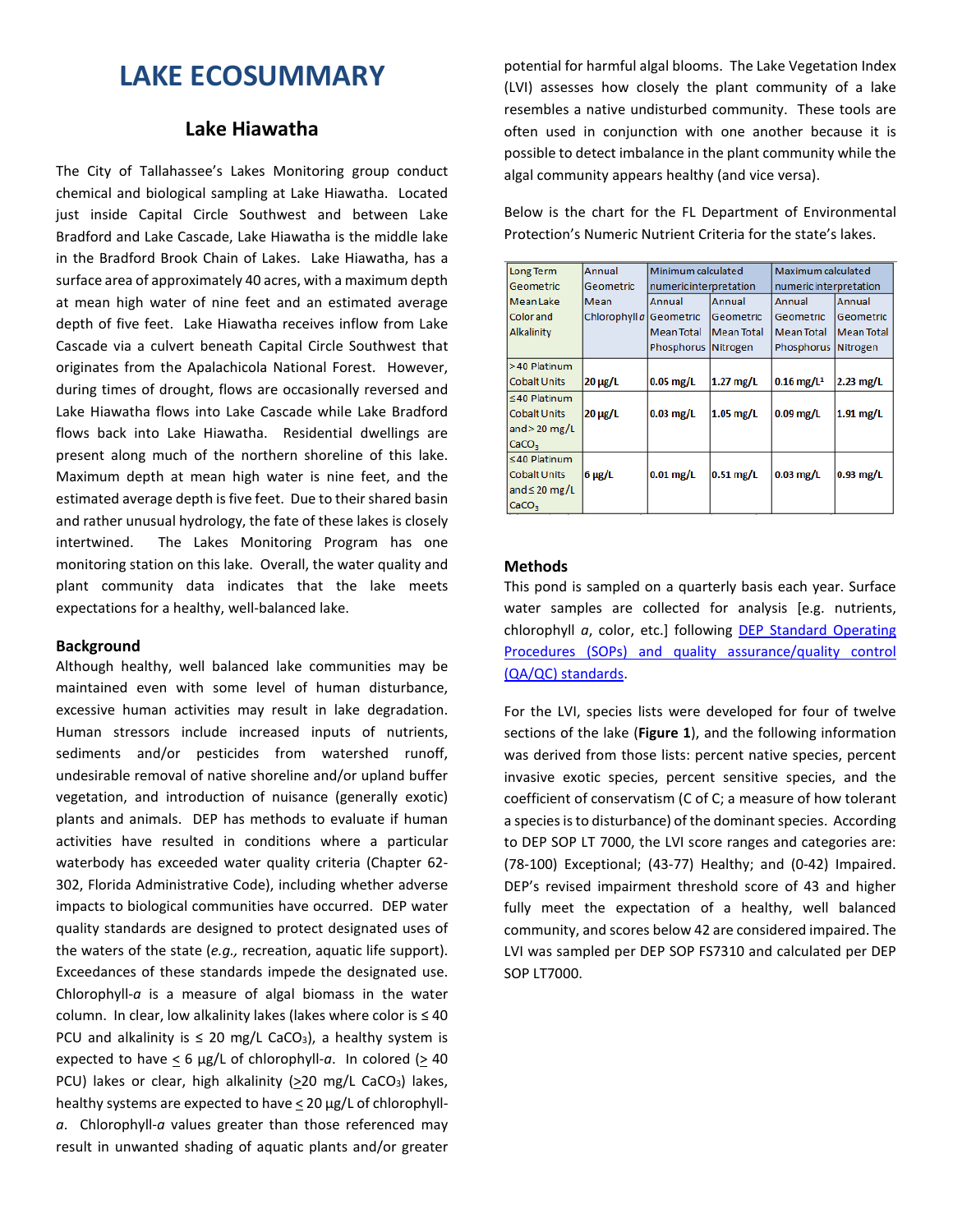# **LAKE ECOSUMMARY**

# **Lake Hiawatha**

The City of Tallahassee's Lakes Monitoring group conduct chemical and biological sampling at Lake Hiawatha. Located just inside Capital Circle Southwest and between Lake Bradford and Lake Cascade, Lake Hiawatha is the middle lake in the Bradford Brook Chain of Lakes. Lake Hiawatha, has a surface area of approximately 40 acres, with a maximum depth at mean high water of nine feet and an estimated average depth of five feet. Lake Hiawatha receives inflow from Lake Cascade via a culvert beneath Capital Circle Southwest that originates from the Apalachicola National Forest. However, during times of drought, flows are occasionally reversed and Lake Hiawatha flows into Lake Cascade while Lake Bradford flows back into Lake Hiawatha. Residential dwellings are present along much of the northern shoreline of this lake. Maximum depth at mean high water is nine feet, and the estimated average depth is five feet. Due to their shared basin and rather unusual hydrology, the fate of these lakes is closely intertwined. The Lakes Monitoring Program has one monitoring station on this lake. Overall, the water quality and plant community data indicates that the lake meets expectations for a healthy, well-balanced lake.

#### **Background**

Although healthy, well balanced lake communities may be maintained even with some level of human disturbance, excessive human activities may result in lake degradation. Human stressors include increased inputs of nutrients, sediments and/or pesticides from watershed runoff, undesirable removal of native shoreline and/or upland buffer vegetation, and introduction of nuisance (generally exotic) plants and animals. DEP has methods to evaluate if human activities have resulted in conditions where a particular waterbody has exceeded water quality criteria (Chapter 62- 302, Florida Administrative Code), including whether adverse impacts to biological communities have occurred. DEP water quality standards are designed to protect designated uses of the waters of the state (*e.g.,* recreation, aquatic life support). Exceedances of these standards impede the designated use. Chlorophyll-*a* is a measure of algal biomass in the water column. In clear, low alkalinity lakes (lakes where color is ≤ 40 PCU and alkalinity is  $\leq$  20 mg/L CaCO<sub>3</sub>), a healthy system is expected to have  $\leq 6$  µg/L of chlorophyll-a. In colored ( $\geq 40$ ) PCU) lakes or clear, high alkalinity  $(220 \text{ mg/L } CaCO<sub>3</sub>)$  lakes, healthy systems are expected to have < 20 µg/L of chlorophyll*a*. Chlorophyll-*a* values greater than those referenced may result in unwanted shading of aquatic plants and/or greater

potential for harmful algal blooms. The Lake Vegetation Index (LVI) assesses how closely the plant community of a lake resembles a native undisturbed community. These tools are often used in conjunction with one another because it is possible to detect imbalance in the plant community while the algal community appears healthy (and vice versa).

Below is the chart for the FL Department of Environmental Protection's Numeric Nutrient Criteria for the state's lakes.

| Long Term           | Annual                  | Minimum calculated     |                   | Maximum calculated       |                   |  |  |
|---------------------|-------------------------|------------------------|-------------------|--------------------------|-------------------|--|--|
| Geometric           | Geometric               | numeric interpretation |                   | numeric interpretation   |                   |  |  |
| <b>Mean Lake</b>    | Mean                    | Annual                 | Annual            | Annual                   | Annual            |  |  |
| <b>Color</b> and    | Chlorophyll a Geometric |                        | Geometric         | Geometric                | Geometric         |  |  |
| Alkalinity          |                         | <b>Mean Total</b>      | <b>Mean Total</b> | <b>Mean Total</b>        | <b>Mean Total</b> |  |  |
|                     |                         | Phosphorus Nitrogen    |                   | Phosphorus Nitrogen      |                   |  |  |
| >40 Platinum        |                         |                        |                   |                          |                   |  |  |
| <b>Cobalt Units</b> | $20 \mu g/L$            | $0.05$ mg/L            | $1.27$ mg/L       | $0.16$ mg/L <sup>1</sup> | $2.23$ mg/L       |  |  |
| $\leq$ 40 Platinum  |                         |                        |                   |                          |                   |  |  |
| <b>Cobalt Units</b> | $20 \mu g/L$            | $0.03$ mg/L            | $1.05$ mg/L       | $0.09$ mg/L              | $1.91$ mg/L       |  |  |
| and $>$ 20 mg/L     |                         |                        |                   |                          |                   |  |  |
| CaCO <sub>3</sub>   |                         |                        |                   |                          |                   |  |  |
| $\leq 40$ Platinum  |                         |                        |                   |                          |                   |  |  |
| <b>Cobalt Units</b> | $6 \mu g/L$             | $0.01$ mg/L            | $0.51$ mg/L       | $0.03$ mg/L              | $0.93$ mg/L       |  |  |
| and $\leq$ 20 mg/L  |                         |                        |                   |                          |                   |  |  |
| CaCO <sub>3</sub>   |                         |                        |                   |                          |                   |  |  |

## **Methods**

This pond is sampled on a quarterly basis each year. Surface water samples are collected for analysis [e.g. nutrients, chlorophyll *a*, color, etc.] following [DEP Standard Operating](http://www.dep.state.fl.us/water/sas/qa/sops.htm)  [Procedures \(SOPs\) and quality assurance/quality control](http://www.dep.state.fl.us/water/sas/qa/sops.htm)  [\(QA/QC\) standards.](http://www.dep.state.fl.us/water/sas/qa/sops.htm)

For the LVI, species lists were developed for four of twelve sections of the lake (**Figure 1**), and the following information was derived from those lists: percent native species, percent invasive exotic species, percent sensitive species, and the coefficient of conservatism (C of C; a measure of how tolerant a species is to disturbance) of the dominant species. According to DEP SOP LT 7000, the LVI score ranges and categories are: (78-100) Exceptional; (43-77) Healthy; and (0-42) Impaired. DEP's revised impairment threshold score of 43 and higher fully meet the expectation of a healthy, well balanced community, and scores below 42 are considered impaired. The LVI was sampled per DEP SOP FS7310 and calculated per DEP SOP LT7000.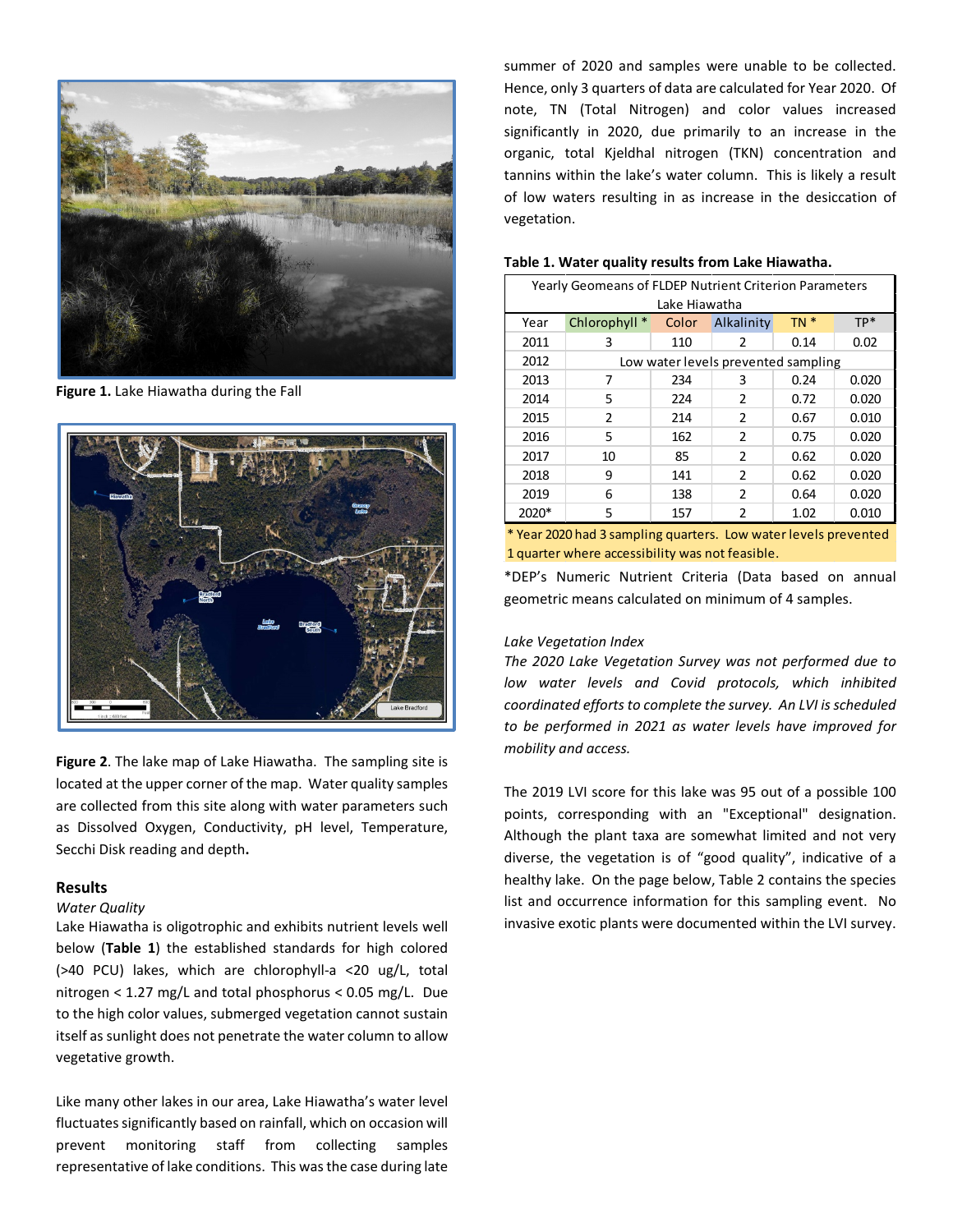

**Figure 1.** Lake Hiawatha during the Fall



**Figure 2**. The lake map of Lake Hiawatha. The sampling site is located at the upper corner of the map. Water quality samples are collected from this site along with water parameters such as Dissolved Oxygen, Conductivity, pH level, Temperature, Secchi Disk reading and depth**.**

## **Results**

# *Water Quality*

Lake Hiawatha is oligotrophic and exhibits nutrient levels well below (**Table 1**) the established standards for high colored (>40 PCU) lakes, which are chlorophyll-a <20 ug/L, total nitrogen < 1.27 mg/L and total phosphorus < 0.05 mg/L. Due to the high color values, submerged vegetation cannot sustain itself as sunlight does not penetrate the water column to allow vegetative growth.

Like many other lakes in our area, Lake Hiawatha's water level fluctuates significantly based on rainfall, which on occasion will prevent monitoring staff from collecting samples representative of lake conditions. This was the case during late summer of 2020 and samples were unable to be collected. Hence, only 3 quarters of data are calculated for Year 2020. Of note, TN (Total Nitrogen) and color values increased significantly in 2020, due primarily to an increase in the organic, total Kjeldhal nitrogen (TKN) concentration and tannins within the lake's water column. This is likely a result of low waters resulting in as increase in the desiccation of vegetation.

| Yearly Geomeans of FLDEP Nutrient Criterion Parameters |                                     |       |                |        |       |  |  |  |  |  |
|--------------------------------------------------------|-------------------------------------|-------|----------------|--------|-------|--|--|--|--|--|
| Lake Hiawatha                                          |                                     |       |                |        |       |  |  |  |  |  |
| Year                                                   | Chlorophyll *                       | Color | Alkalinity     | $TN *$ | TP*   |  |  |  |  |  |
| 2011                                                   | 3                                   | 110   | 2              | 0.14   | 0.02  |  |  |  |  |  |
| 2012                                                   | Low water levels prevented sampling |       |                |        |       |  |  |  |  |  |
| 2013                                                   | 7                                   | 234   | 3              | 0.24   | 0.020 |  |  |  |  |  |
| 2014                                                   | 5                                   | 224   | $\mathcal{P}$  | 0.72   | 0.020 |  |  |  |  |  |
| 2015                                                   | 2                                   | 214   | $\overline{2}$ | 0.67   | 0.010 |  |  |  |  |  |
| 2016                                                   | 5                                   | 162   | $\mathfrak{p}$ | 0.75   | 0.020 |  |  |  |  |  |
| 2017                                                   | 10                                  | 85    | $\overline{2}$ | 0.62   | 0.020 |  |  |  |  |  |
| 2018                                                   | 9                                   | 141   | $\overline{2}$ | 0.62   | 0.020 |  |  |  |  |  |
| 2019                                                   | 6                                   | 138   | $\mathcal{P}$  | 0.64   | 0.020 |  |  |  |  |  |
| 2020*                                                  | 5                                   | 157   | 2              | 1.02   | 0.010 |  |  |  |  |  |

#### **Table 1. Water quality results from Lake Hiawatha.**

\* Year 2020 had 3 sampling quarters. Low water levels prevented 1 quarter where accessibility was not feasible.

\*DEP's Numeric Nutrient Criteria (Data based on annual geometric means calculated on minimum of 4 samples.

#### *Lake Vegetation Index*

*The 2020 Lake Vegetation Survey was not performed due to low water levels and Covid protocols, which inhibited coordinated efforts to complete the survey. An LVI is scheduled to be performed in 2021 as water levels have improved for mobility and access.*

The 2019 LVI score for this lake was 95 out of a possible 100 points, corresponding with an "Exceptional" designation. Although the plant taxa are somewhat limited and not very diverse, the vegetation is of "good quality", indicative of a healthy lake. On the page below, Table 2 contains the species list and occurrence information for this sampling event. No invasive exotic plants were documented within the LVI survey.